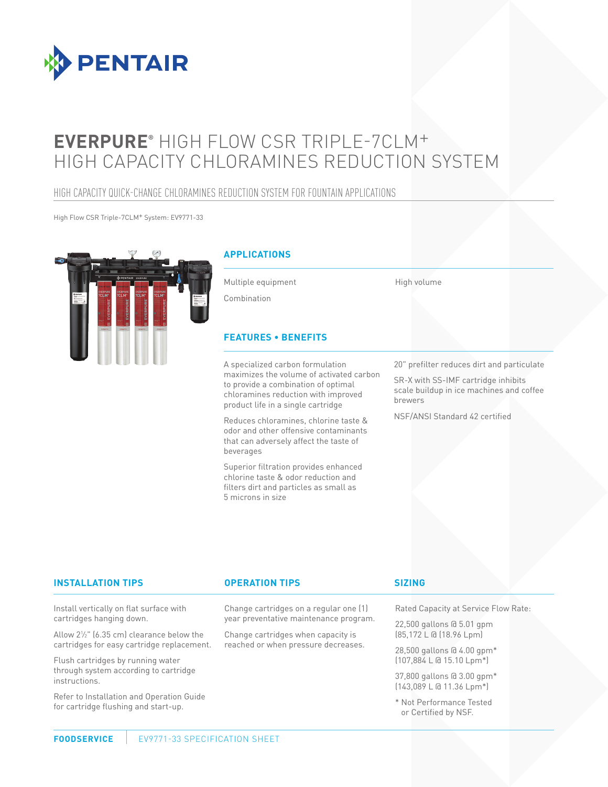

# **EVERPURE®** HIGH FLOW CSR TRIPLE-7CLM+ HIGH CAPACITY CHLORAMINES REDUCTION SYSTEM

## HIGH CAPACITY QUICK-CHANGE CHLORAMINES REDUCTION SYSTEM FOR FOUNTAIN APPLICATIONS

High Flow CSR Triple-7CLM+ System: EV9771-33



#### **APPLICATIONS**

Multiple equipment

Combination

#### **FEATURES • BENEFITS**

A specialized carbon formulation maximizes the volume of activated carbon to provide a combination of optimal chloramines reduction with improved product life in a single cartridge

Reduces chloramines, chlorine taste & odor and other offensive contaminants that can adversely affect the taste of beverages

Superior filtration provides enhanced chlorine taste & odor reduction and filters dirt and particles as small as 5 microns in size

20" prefilter reduces dirt and particulate

SR-X with SS-IMF cartridge inhibits scale buildup in ice machines and coffee brewers

NSF/ANSI Standard 42 certified

High volume

#### **INSTALLATION TIPS OPERATION TIPS**

Install vertically on flat surface with cartridges hanging down.

Allow 21 ⁄2" (6.35 cm) clearance below the cartridges for easy cartridge replacement.

Flush cartridges by running water through system according to cartridge instructions.

Refer to Installation and Operation Guide for cartridge flushing and start-up.

#### Change cartridges on a regular one (1) year preventative maintenance program.

Change cartridges when capacity is reached or when pressure decreases.

#### **SIZING**

Rated Capacity at Service Flow Rate:

22,500 gallons @ 5.01 gpm (85,172 L @ (18.96 Lpm)

28,500 gallons @ 4.00 gpm\* (107,884 L @ 15.10 Lpm\*)

37,800 gallons @ 3.00 gpm\* (143,089 L @ 11.36 Lpm\*)

\* Not Performance Tested or Certified by NSF.